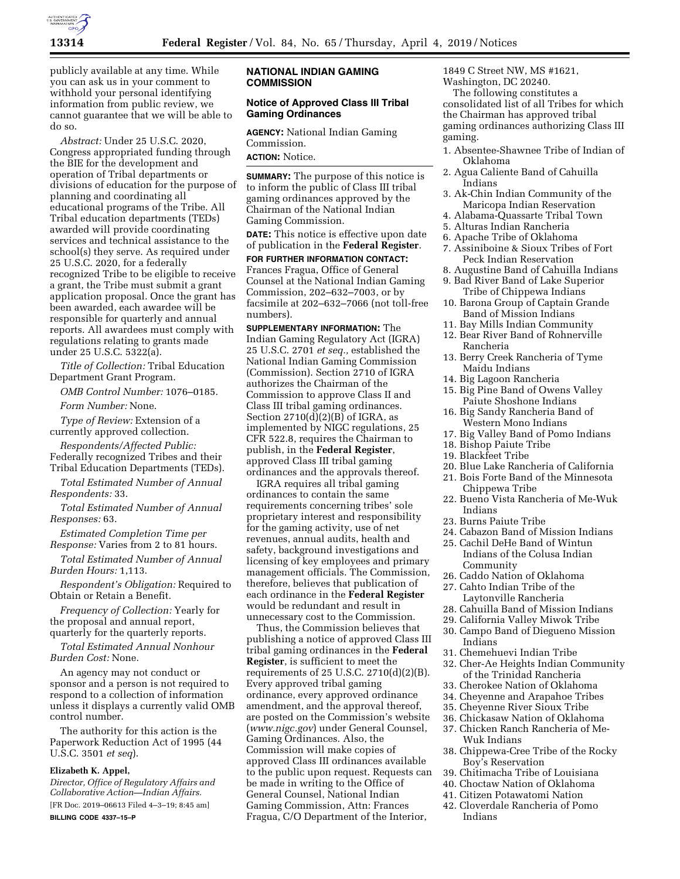

publicly available at any time. While you can ask us in your comment to withhold your personal identifying information from public review, we cannot guarantee that we will be able to do so.

*Abstract:* Under 25 U.S.C. 2020, Congress appropriated funding through the BIE for the development and operation of Tribal departments or divisions of education for the purpose of planning and coordinating all educational programs of the Tribe. All Tribal education departments (TEDs) awarded will provide coordinating services and technical assistance to the school(s) they serve. As required under 25 U.S.C. 2020, for a federally recognized Tribe to be eligible to receive a grant, the Tribe must submit a grant application proposal. Once the grant has been awarded, each awardee will be responsible for quarterly and annual reports. All awardees must comply with regulations relating to grants made under 25 U.S.C. 5322(a).

*Title of Collection:* Tribal Education Department Grant Program.

*OMB Control Number:* 1076–0185.

*Form Number:* None.

*Type of Review:* Extension of a currently approved collection.

*Respondents/Affected Public:*  Federally recognized Tribes and their

Tribal Education Departments (TEDs). *Total Estimated Number of Annual* 

*Respondents:* 33.

*Total Estimated Number of Annual Responses:* 63.

*Estimated Completion Time per Response:* Varies from 2 to 81 hours.

*Total Estimated Number of Annual Burden Hours:* 1,113.

*Respondent's Obligation:* Required to Obtain or Retain a Benefit.

*Frequency of Collection:* Yearly for the proposal and annual report, quarterly for the quarterly reports.

*Total Estimated Annual Nonhour Burden Cost:* None.

An agency may not conduct or sponsor and a person is not required to respond to a collection of information unless it displays a currently valid OMB control number.

The authority for this action is the Paperwork Reduction Act of 1995 (44 U.S.C. 3501 *et seq*).

## **Elizabeth K. Appel,**

*Director, Office of Regulatory Affairs and Collaborative Action—Indian Affairs.*  [FR Doc. 2019–06613 Filed 4–3–19; 8:45 am] **BILLING CODE 4337–15–P** 

## **NATIONAL INDIAN GAMING COMMISSION**

## **Notice of Approved Class III Tribal Gaming Ordinances**

**AGENCY:** National Indian Gaming Commission.

**ACTION:** Notice.

**SUMMARY:** The purpose of this notice is to inform the public of Class III tribal gaming ordinances approved by the Chairman of the National Indian Gaming Commission.

**DATE:** This notice is effective upon date of publication in the **Federal Register**.

**FOR FURTHER INFORMATION CONTACT:**  Frances Fragua, Office of General Counsel at the National Indian Gaming Commission, 202–632–7003, or by facsimile at 202–632–7066 (not toll-free numbers).

**SUPPLEMENTARY INFORMATION:** The Indian Gaming Regulatory Act (IGRA) 25 U.S.C. 2701 *et seq.,* established the National Indian Gaming Commission (Commission). Section 2710 of IGRA authorizes the Chairman of the Commission to approve Class II and Class III tribal gaming ordinances. Section  $2710(d)(2)(B)$  of IGRA, as implemented by NIGC regulations, 25 CFR 522.8, requires the Chairman to publish, in the **Federal Register**, approved Class III tribal gaming ordinances and the approvals thereof.

IGRA requires all tribal gaming ordinances to contain the same requirements concerning tribes' sole proprietary interest and responsibility for the gaming activity, use of net revenues, annual audits, health and safety, background investigations and licensing of key employees and primary management officials. The Commission, therefore, believes that publication of each ordinance in the **Federal Register**  would be redundant and result in unnecessary cost to the Commission.

Thus, the Commission believes that publishing a notice of approved Class III tribal gaming ordinances in the **Federal Register**, is sufficient to meet the requirements of 25 U.S.C. 2710(d)(2)(B). Every approved tribal gaming ordinance, every approved ordinance amendment, and the approval thereof, are posted on the Commission's website (*[www.nigc.gov](http://www.nigc.gov)*) under General Counsel, Gaming Ordinances. Also, the Commission will make copies of approved Class III ordinances available to the public upon request. Requests can be made in writing to the Office of General Counsel, National Indian Gaming Commission, Attn: Frances Fragua, C/O Department of the Interior,

1849 C Street NW, MS #1621, Washington, DC 20240.

The following constitutes a consolidated list of all Tribes for which the Chairman has approved tribal gaming ordinances authorizing Class III gaming.

- 1. Absentee-Shawnee Tribe of Indian of Oklahoma
- 2. Agua Caliente Band of Cahuilla Indians
- 3. Ak-Chin Indian Community of the Maricopa Indian Reservation
- 4. Alabama-Quassarte Tribal Town
- 5. Alturas Indian Rancheria
- 6. Apache Tribe of Oklahoma
- 7. Assiniboine & Sioux Tribes of Fort Peck Indian Reservation
- 8. Augustine Band of Cahuilla Indians 9. Bad River Band of Lake Superior
- Tribe of Chippewa Indians 10. Barona Group of Captain Grande
- Band of Mission Indians
- 11. Bay Mills Indian Community
- 12. Bear River Band of Rohnerville Rancheria
- 13. Berry Creek Rancheria of Tyme Maidu Indians
- 14. Big Lagoon Rancheria
- 15. Big Pine Band of Owens Valley Paiute Shoshone Indians
- 16. Big Sandy Rancheria Band of Western Mono Indians
- 17. Big Valley Band of Pomo Indians
- 18. Bishop Paiute Tribe
- 19. Blackfeet Tribe
- 20. Blue Lake Rancheria of California
- 21. Bois Forte Band of the Minnesota Chippewa Tribe
- 22. Bueno Vista Rancheria of Me-Wuk Indians
- 23. Burns Paiute Tribe
- 24. Cabazon Band of Mission Indians
- 25. Cachil DeHe Band of Wintun Indians of the Colusa Indian Community
- 26. Caddo Nation of Oklahoma
- 27. Cahto Indian Tribe of the Laytonville Rancheria
- 28. Cahuilla Band of Mission Indians
- 29. California Valley Miwok Tribe
- 30. Campo Band of Diegueno Mission Indians
- 31. Chemehuevi Indian Tribe
- 32. Cher-Ae Heights Indian Community of the Trinidad Rancheria
- 33. Cherokee Nation of Oklahoma
- 34. Cheyenne and Arapahoe Tribes
- 35. Cheyenne River Sioux Tribe
- 36. Chickasaw Nation of Oklahoma
- 37. Chicken Ranch Rancheria of Me-Wuk Indians
- 38. Chippewa-Cree Tribe of the Rocky Boy's Reservation
- 39. Chitimacha Tribe of Louisiana
- 40. Choctaw Nation of Oklahoma
- 41. Citizen Potawatomi Nation
- 42. Cloverdale Rancheria of Pomo Indians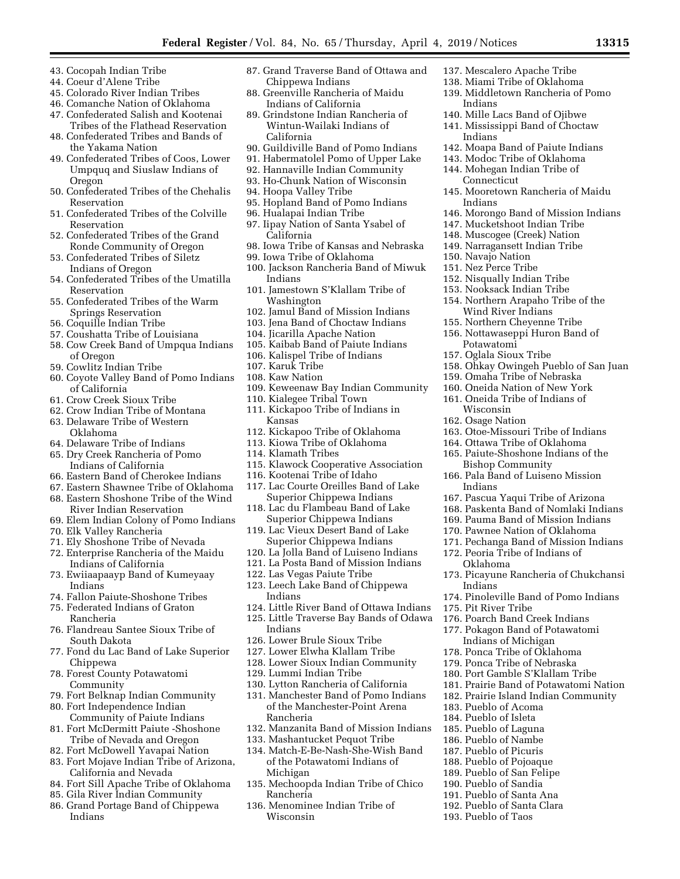- 43. Cocopah Indian Tribe
- 44. Coeur d'Alene Tribe
- 45. Colorado River Indian Tribes
- 46. Comanche Nation of Oklahoma
- 47. Confederated Salish and Kootenai Tribes of the Flathead Reservation
- 48. Confederated Tribes and Bands of the Yakama Nation 49. Confederated Tribes of Coos, Lower
- Umpquq and Siuslaw Indians of Oregon
- 50. Confederated Tribes of the Chehalis Reservation
- 51. Confederated Tribes of the Colville Reservation
- 52. Confederated Tribes of the Grand Ronde Community of Oregon
- 53. Confederated Tribes of Siletz Indians of Oregon
- 54. Confederated Tribes of the Umatilla Reservation
- 55. Confederated Tribes of the Warm Springs Reservation
- 56. Coquille Indian Tribe
- 57. Coushatta Tribe of Louisiana
- 58. Cow Creek Band of Umpqua Indians of Oregon
- 59. Cowlitz Indian Tribe
- 60. Coyote Valley Band of Pomo Indians of California
- 61. Crow Creek Sioux Tribe
- 62. Crow Indian Tribe of Montana
- 63. Delaware Tribe of Western Oklahoma
- 64. Delaware Tribe of Indians
- 65. Dry Creek Rancheria of Pomo Indians of California
- 66. Eastern Band of Cherokee Indians
- 67. Eastern Shawnee Tribe of Oklahoma
- 68. Eastern Shoshone Tribe of the Wind River Indian Reservation
- 69. Elem Indian Colony of Pomo Indians
- 70. Elk Valley Rancheria
- 71. Ely Shoshone Tribe of Nevada
- 72. Enterprise Rancheria of the Maidu Indians of California
- 73. Ewiiaapaayp Band of Kumeyaay Indians
- 74. Fallon Paiute-Shoshone Tribes
- 75. Federated Indians of Graton Rancheria
- 76. Flandreau Santee Sioux Tribe of South Dakota
- 77. Fond du Lac Band of Lake Superior Chippewa
- 78. Forest County Potawatomi Community
- 79. Fort Belknap Indian Community
- 80. Fort Independence Indian Community of Paiute Indians
- 81. Fort McDermitt Paiute -Shoshone
- Tribe of Nevada and Oregon 82. Fort McDowell Yavapai Nation
- 83. Fort Mojave Indian Tribe of Arizona, California and Nevada
- 84. Fort Sill Apache Tribe of Oklahoma
- 85. Gila River Indian Community
- 86. Grand Portage Band of Chippewa Indians
- 87. Grand Traverse Band of Ottawa and Chippewa Indians 88. Greenville Rancheria of Maidu
- Indians of California 89. Grindstone Indian Rancheria of
- Wintun-Wailaki Indians of California
- 90. Guildiville Band of Pomo Indians
- 91. Habermatolel Pomo of Upper Lake
- 92. Hannaville Indian Community
- 93. Ho-Chunk Nation of Wisconsin
- 94. Hoopa Valley Tribe
- 95. Hopland Band of Pomo Indians
- 96. Hualapai Indian Tribe 97. Iipay Nation of Santa Ysabel of California
- 98. Iowa Tribe of Kansas and Nebraska
- 99. Iowa Tribe of Oklahoma
- 100. Jackson Rancheria Band of Miwuk Indians
- 101. Jamestown S'Klallam Tribe of Washington
- 102. Jamul Band of Mission Indians
- 103. Jena Band of Choctaw Indians
- 104. Jicarilla Apache Nation
- 105. Kaibab Band of Paiute Indians
- 106. Kalispel Tribe of Indians
- 107. Karuk Tribe
- 108. Kaw Nation
- 109. Keweenaw Bay Indian Community
- 110. Kialegee Tribal Town
- 111. Kickapoo Tribe of Indians in Kansas
- 112. Kickapoo Tribe of Oklahoma
- 113. Kiowa Tribe of Oklahoma
- 114. Klamath Tribes
- 115. Klawock Cooperative Association
- 116. Kootenai Tribe of Idaho
- 117. Lac Courte Oreilles Band of Lake Superior Chippewa Indians
- 118. Lac du Flambeau Band of Lake Superior Chippewa Indians
- 119. Lac Vieux Desert Band of Lake Superior Chippewa Indians
- 120. La Jolla Band of Luiseno Indians
- 121. La Posta Band of Mission Indians
- 122. Las Vegas Paiute Tribe
- 123. Leech Lake Band of Chippewa Indians
- 124. Little River Band of Ottawa Indians
- 125. Little Traverse Bay Bands of Odawa Indians
- 126. Lower Brule Sioux Tribe
- 127. Lower Elwha Klallam Tribe
- 128. Lower Sioux Indian Community
- 129. Lummi Indian Tribe
- 130. Lytton Rancheria of California
- 131. Manchester Band of Pomo Indians of the Manchester-Point Arena Rancheria
- 132. Manzanita Band of Mission Indians
- 133. Mashantucket Pequot Tribe
- 134. Match-E-Be-Nash-She-Wish Band of the Potawatomi Indians of Michigan
- 135. Mechoopda Indian Tribe of Chico Rancheria
- 136. Menominee Indian Tribe of Wisconsin
- 137. Mescalero Apache Tribe
- 138. Miami Tribe of Oklahoma
- 139. Middletown Rancheria of Pomo Indians
- 140. Mille Lacs Band of Ojibwe

144. Mohegan Indian Tribe of

**Connecticut** 

Indians

150. Navajo Nation 151. Nez Perce Tribe 152. Nisqually Indian Tribe 153. Nooksack Indian Tribe 154. Northern Arapaho Tribe of the Wind River Indians 155. Northern Cheyenne Tribe 156. Nottawaseppi Huron Band of

Potawatomi 157. Oglala Sioux Tribe

Wisconsin 162. Osage Nation

Indians

Oklahoma

175. Pit River Tribe

183. Pueblo of Acoma 184. Pueblo of Isleta 185. Pueblo of Laguna 186. Pueblo of Nambe 187. Pueblo of Picuris 188. Pueblo of Pojoaque 189. Pueblo of San Felipe 190. Pueblo of Sandia 191. Pueblo of Santa Ana 192. Pueblo of Santa Clara 193. Pueblo of Taos

Indians

- 141. Mississippi Band of Choctaw Indians
- 142. Moapa Band of Paiute Indians 143. Modoc Tribe of Oklahoma

145. Mooretown Rancheria of Maidu

146. Morongo Band of Mission Indians 147. Mucketshoot Indian Tribe 148. Muscogee (Creek) Nation 149. Narragansett Indian Tribe

158. Ohkay Owingeh Pueblo of San Juan

159. Omaha Tribe of Nebraska 160. Oneida Nation of New York 161. Oneida Tribe of Indians of

163. Otoe-Missouri Tribe of Indians 164. Ottawa Tribe of Oklahoma 165. Paiute-Shoshone Indians of the Bishop Community 166. Pala Band of Luiseno Mission

167. Pascua Yaqui Tribe of Arizona 168. Paskenta Band of Nomlaki Indians 169. Pauma Band of Mission Indians 170. Pawnee Nation of Oklahoma 171. Pechanga Band of Mission Indians

173. Picayune Rancheria of Chukchansi

174. Pinoleville Band of Pomo Indians

172. Peoria Tribe of Indians of

176. Poarch Band Creek Indians 177. Pokagon Band of Potawatomi Indians of Michigan 178. Ponca Tribe of Oklahoma 179. Ponca Tribe of Nebraska 180. Port Gamble S'Klallam Tribe 181. Prairie Band of Potawatomi Nation 182. Prairie Island Indian Community